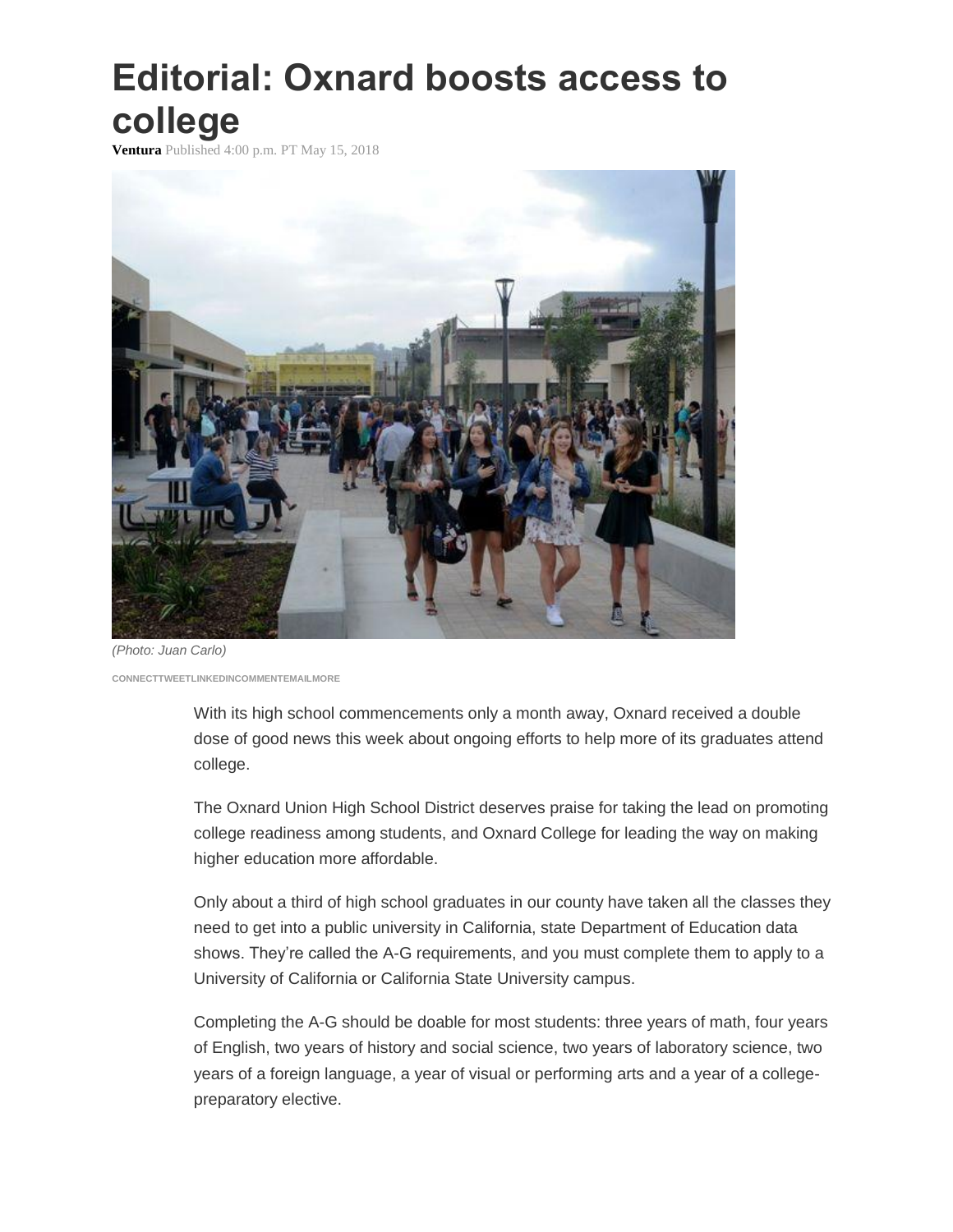## **Editorial: Oxnard boosts access to college**

**Ventura** Published 4:00 p.m. PT May 15, 2018



*(Photo: Juan Carlo)* **CONNEC[TTWEETLINKEDINC](https://twitter.com/intent/tweet?url=https%3A//www.vcstar.com/story/opinion/editorials/2018/05/15/editorial-oxnard-boosts-access-college/613627002/&text=Editorial%3A%20Oxnard%20boosts%20access%20to%20college&via=vcstar)OMMENTEMAILMORE**

> With its high school commencements only a month away, Oxnard received a double dose of good news this week about ongoing efforts to help more of its graduates attend college.

> The Oxnard Union High School District deserves praise for taking the lead on promoting college readiness among students, and Oxnard College for leading the way on making higher education more affordable.

> Only about a third of high school graduates in our county have taken all the classes they need to get into a public university in California, state Department of Education data shows. They're called the A-G requirements, and you must complete them to apply to a University of California or California State University campus.

> Completing the A-G should be doable for most students: three years of math, four years of English, two years of history and social science, two years of laboratory science, two years of a foreign language, a year of visual or performing arts and a year of a collegepreparatory elective.